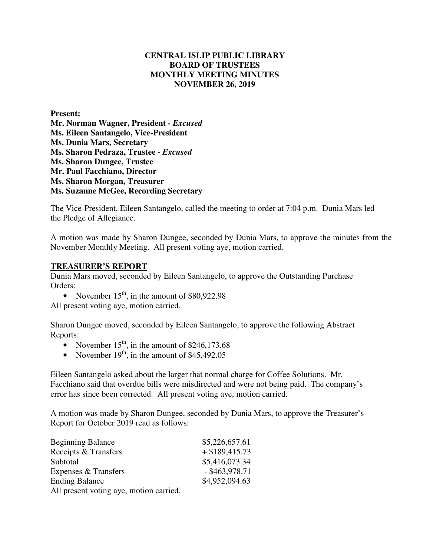## **CENTRAL ISLIP PUBLIC LIBRARY BOARD OF TRUSTEES MONTHLY MEETING MINUTES NOVEMBER 26, 2019**

**Present: Mr. Norman Wagner, President** *- Excused*  **Ms. Eileen Santangelo, Vice-President Ms. Dunia Mars, Secretary Ms. Sharon Pedraza, Trustee -** *Excused* **Ms. Sharon Dungee, Trustee Mr. Paul Facchiano, Director Ms. Sharon Morgan, Treasurer Ms. Suzanne McGee, Recording Secretary** 

The Vice-President, Eileen Santangelo, called the meeting to order at 7:04 p.m. Dunia Mars led the Pledge of Allegiance.

A motion was made by Sharon Dungee, seconded by Dunia Mars, to approve the minutes from the November Monthly Meeting. All present voting aye, motion carried.

#### **TREASURER'S REPORT**

Dunia Mars moved, seconded by Eileen Santangelo, to approve the Outstanding Purchase Orders:

• November  $15<sup>th</sup>$ , in the amount of \$80,922.98

All present voting aye, motion carried.

Sharon Dungee moved, seconded by Eileen Santangelo, to approve the following Abstract Reports:

- November  $15<sup>th</sup>$ , in the amount of \$246,173.68
- November  $19<sup>th</sup>$ , in the amount of \$45,492.05

Eileen Santangelo asked about the larger that normal charge for Coffee Solutions. Mr. Facchiano said that overdue bills were misdirected and were not being paid. The company's error has since been corrected. All present voting aye, motion carried.

A motion was made by Sharon Dungee, seconded by Dunia Mars, to approve the Treasurer's Report for October 2019 read as follows:

| <b>Beginning Balance</b>                | \$5,226,657.61   |
|-----------------------------------------|------------------|
| Receipts & Transfers                    | $+$ \$189,415.73 |
| Subtotal                                | \$5,416,073.34   |
| Expenses & Transfers                    | $-$ \$463,978.71 |
| <b>Ending Balance</b>                   | \$4,952,094.63   |
| All present voting aye, motion carried. |                  |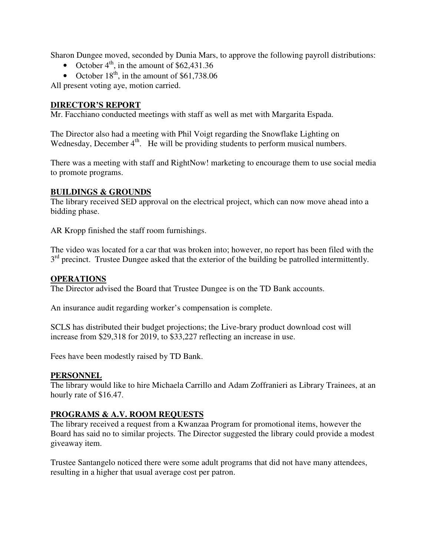Sharon Dungee moved, seconded by Dunia Mars, to approve the following payroll distributions:

- October  $4^{\text{th}}$ , in the amount of \$62,431.36
- October  $18^{th}$ , in the amount of \$61,738.06

All present voting aye, motion carried.

## **DIRECTOR'S REPORT**

Mr. Facchiano conducted meetings with staff as well as met with Margarita Espada.

The Director also had a meeting with Phil Voigt regarding the Snowflake Lighting on Wednesday, December 4<sup>th</sup>. He will be providing students to perform musical numbers.

There was a meeting with staff and RightNow! marketing to encourage them to use social media to promote programs.

## **BUILDINGS & GROUNDS**

The library received SED approval on the electrical project, which can now move ahead into a bidding phase.

AR Kropp finished the staff room furnishings.

The video was located for a car that was broken into; however, no report has been filed with the 3<sup>rd</sup> precinct. Trustee Dungee asked that the exterior of the building be patrolled intermittently.

### **OPERATIONS**

The Director advised the Board that Trustee Dungee is on the TD Bank accounts.

An insurance audit regarding worker's compensation is complete.

SCLS has distributed their budget projections; the Live-brary product download cost will increase from \$29,318 for 2019, to \$33,227 reflecting an increase in use.

Fees have been modestly raised by TD Bank.

### **PERSONNEL**

The library would like to hire Michaela Carrillo and Adam Zoffranieri as Library Trainees, at an hourly rate of \$16.47.

# **PROGRAMS & A.V. ROOM REQUESTS**

The library received a request from a Kwanzaa Program for promotional items, however the Board has said no to similar projects. The Director suggested the library could provide a modest giveaway item.

Trustee Santangelo noticed there were some adult programs that did not have many attendees, resulting in a higher that usual average cost per patron.